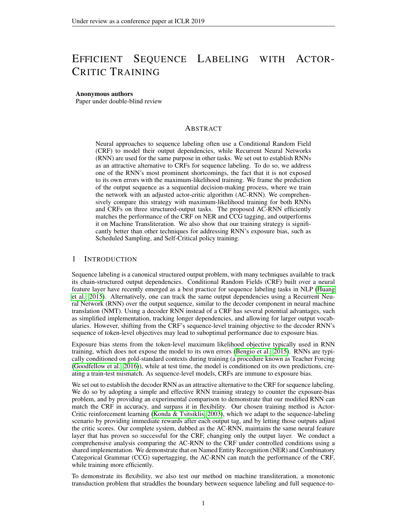# EFFICIENT SEQUENCE LABELING WITH ACTOR-CRITIC TRAINING

#### Anonymous authors

Paper under double-blind review

## ABSTRACT

Neural approaches to sequence labeling often use a Conditional Random Field (CRF) to model their output dependencies, while Recurrent Neural Networks (RNN) are used for the same purpose in other tasks. We set out to establish RNNs as an attractive alternative to CRFs for sequence labeling. To do so, we address one of the RNN's most prominent shortcomings, the fact that it is not exposed to its own errors with the maximum-likelihood training. We frame the prediction of the output sequence as a sequential decision-making process, where we train the network with an adjusted actor-critic algorithm (AC-RNN). We comprehensively compare this strategy with maximum-likelihood training for both RNNs and CRFs on three structured-output tasks. The proposed AC-RNN efficiently matches the performance of the CRF on NER and CCG tagging, and outperforms it on Machine Transliteration. We also show that our training strategy is significantly better than other techniques for addressing RNN's exposure bias, such as Scheduled Sampling, and Self-Critical policy training.

## 1 INTRODUCTION

Sequence labeling is a canonical structured output problem, with many techniques available to track its chain-structured output dependencies. Conditional Random Fields (CRF) built over a neural feature layer have recently emerged as a best practice for sequence labeling tasks in NLP [\(Huang](#page-8-0) [et al., 2015\)](#page-8-0). Alternatively, one can track the same output dependencies using a Recurrent Neural Network (RNN) over the output sequence, similar to the decoder component in neural machine translation (NMT). Using a decoder RNN instead of a CRF has several potential advantages, such as simplified implementation, tracking longer dependencies, and allowing for larger output vocabularies. However, shifting from the CRF's sequence-level training objective to the decoder RNN's sequence of token-level objectives may lead to suboptimal performance due to exposure bias.

Exposure bias stems from the token-level maximum likelihood objective typically used in RNN training, which does not expose the model to its own errors [\(Bengio et al., 2015\)](#page-8-1). RNNs are typically conditioned on gold-standard contexts during training (a procedure known as Teacher Forcing [\(Goodfellow et al., 2016\)](#page-8-2)), while at test time, the model is conditioned on its own predictions, creating a train-test mismatch. As sequence-level models, CRFs are immune to exposure bias.

We set out to establish the decoder RNN as an attractive alternative to the CRF for sequence labeling. We do so by adopting a simple and effective RNN training strategy to counter the exposure-bias problem, and by providing an experimental comparison to demonstrate that our modified RNN can match the CRF in accuracy, and surpass it in flexibility. Our chosen training method is Actor-Critic reinforcement learning [\(Konda & Tsitsiklis, 2003\)](#page-8-3), which we adapt to the sequence-labeling scenario by providing immediate rewards after each output tag, and by letting those outputs adjust the critic scores. Our complete system, dubbed as the AC-RNN, maintains the same neural feature layer that has proven so successful for the CRF, changing only the output layer. We conduct a comprehensive analysis comparing the AC-RNN to the CRF under controlled conditions using a shared implementation. We demonstrate that on Named Entity Recognition (NER) and Combinatory Categorical Grammar (CCG) supertagging, the AC-RNN can match the performance of the CRF, while training more efficiently.

To demonstrate its flexibility, we also test our method on machine transliteration, a monotonic transduction problem that straddles the boundary between sequence labeling and full sequence-to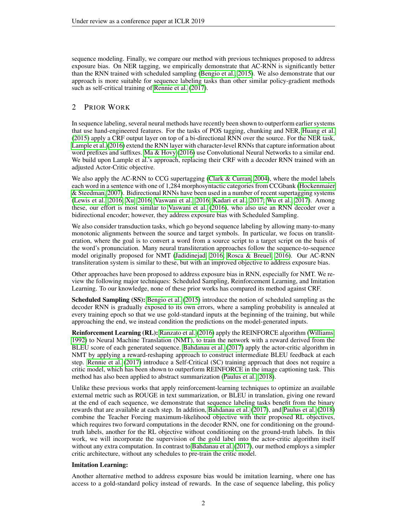sequence modeling. Finally, we compare our method with previous techniques proposed to address exposure bias. On NER tagging, we empirically demonstrate that AC-RNN is significantly better than the RNN trained with scheduled sampling [\(Bengio et al., 2015\)](#page-8-1). We also demonstrate that our approach is more suitable for sequence labeling tasks than other similar policy-gradient methods such as self-critical training of [Rennie et al.](#page-9-0) [\(2017\)](#page-9-0).

## 2 PRIOR WORK

In sequence labeling, several neural methods have recently been shown to outperform earlier systems that use hand-engineered features. For the tasks of POS tagging, chunking and NER, [Huang et al.](#page-8-0) [\(2015\)](#page-8-0) apply a CRF output layer on top of a bi-directional RNN over the source. For the NER task, [Lample et al.](#page-8-4) [\(2016\)](#page-8-4) extend the RNN layer with character-level RNNs that capture information about word prefixes and suffixes. [Ma & Hovy](#page-9-1) [\(2016\)](#page-9-1) use Convolutional Neural Networks to a similar end. We build upon Lample et al.'s approach, replacing their CRF with a decoder RNN trained with an adjusted Actor-Critic objective.

We also apply the AC-RNN to CCG supertagging [\(Clark & Curran, 2004\)](#page-8-5), where the model labels each word in a sentence with one of 1,284 morphosyntactic categories from CCGbank [\(Hockenmaier](#page-8-6) [& Steedman, 2007\)](#page-8-6). Bidirectional RNNs have been used in a number of recent supertagging systems [\(Lewis et al., 2016;](#page-9-2) [Xu, 2016;](#page-10-0) [Vaswani et al., 2016;](#page-10-1) [Kadari et al., 2017;](#page-8-7) [Wu et al., 2017\)](#page-10-2). Among these, our effort is most similar to [Vaswani et al.](#page-10-1) [\(2016\)](#page-10-1), who also use an RNN decoder over a bidirectional encoder; however, they address exposure bias with Scheduled Sampling.

We also consider transduction tasks, which go beyond sequence labeling by allowing many-to-many monotonic alignments between the source and target symbols. In particular, we focus on transliteration, where the goal is to convert a word from a source script to a target script on the basis of the word's pronunciation. Many neural transliteration approaches follow the sequence-to-sequence model originally proposed for NMT [\(Jadidinejad, 2016;](#page-8-8) [Rosca & Breuel, 2016\)](#page-9-3). Our AC-RNN transliteration system is similar to these, but with an improved objective to address exposure bias.

Other approaches have been proposed to address exposure bias in RNN, especially for NMT. We review the following major techniques: Scheduled Sampling, Reinforcement Learning, and Imitation Learning. To our knowledge, none of these prior works has compared its method against CRF.

Scheduled Sampling (SS): [Bengio et al.](#page-8-1) [\(2015\)](#page-8-1) introduce the notion of scheduled sampling as the decoder RNN is gradually exposed to its own errors, where a sampling probability is annealed at every training epoch so that we use gold-standard inputs at the beginning of the training, but while approaching the end, we instead condition the predictions on the model-generated inputs.

Reinforcement Learning (RL): [Ranzato et al.](#page-9-4) [\(2016\)](#page-9-4) apply the REINFORCE algorithm [\(Williams,](#page-10-3) [1992\)](#page-10-3) to Neural Machine Translation (NMT), to train the network with a reward derived from the BLEU score of each generated sequence. [Bahdanau et al.](#page-8-9) [\(2017\)](#page-8-9) apply the actor-critic algorithm in NMT by applying a reward-reshaping approach to construct intermediate BLEU feedback at each step. [Rennie et al.](#page-9-0) [\(2017\)](#page-9-0) introduce a Self-Critical (SC) training approach that does not require a critic model, which has been shown to outperform REINFORCE in the image captioning task. This method has also been applied to abstract summarization [\(Paulus et al., 2018\)](#page-9-5).

Unlike these previous works that apply reinforcement-learning techniques to optimize an available external metric such as ROUGE in text summarization, or BLEU in translation, giving one reward at the end of each sequence, we demonstrate that sequence labeling tasks benefit from the binary rewards that are available at each step. In addition, [Bahdanau et al.](#page-8-9) [\(2017\)](#page-8-9), and [Paulus et al.](#page-9-5) [\(2018\)](#page-9-5) combine the Teacher Forcing maximum-likelihood objective with their proposed RL objectives, which requires two forward computations in the decoder RNN, one for conditioning on the groundtruth labels, another for the RL objective without conditioning on the ground-truth labels. In this work, we will incorporate the supervision of the gold label into the actor-critic algorithm itself without any extra computation. In contrast to [Bahdanau et al.](#page-8-9) [\(2017\)](#page-8-9), our method employs a simpler critic architecture, without any schedules to pre-train the critic model.

#### Imitation Learning:

Another alternative method to address exposure bias would be imitation learning, where one has access to a gold-standard policy instead of rewards. In the case of sequence labeling, this policy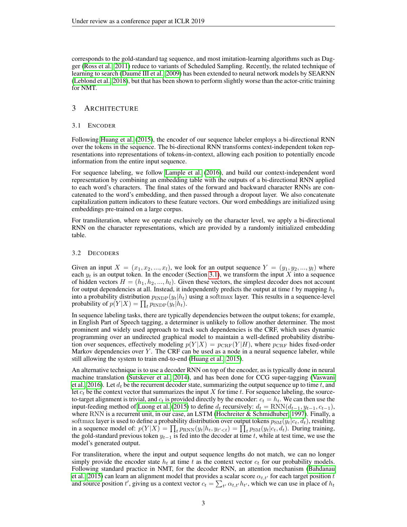corresponds to the gold-standard tag sequence, and most imitation-learning algorithms such as Dagger [\(Ross et al., 2011\)](#page-9-6) reduce to variants of Scheduled Sampling. Recently, the related technique of learning to search (Daumé III et al., 2009) has been extended to neural network models by SEARNN [\(Leblond et al., 2018\)](#page-8-11), but that has been shown to perform slightly worse than the actor-critic training for NMT.

## 3 ARCHITECTURE

#### <span id="page-2-0"></span>3.1 ENCODER

Following [Huang et al.](#page-8-0) [\(2015\)](#page-8-0), the encoder of our sequence labeler employs a bi-directional RNN over the tokens in the sequence. The bi-directional RNN transforms context-independent token representations into representations of tokens-in-context, allowing each position to potentially encode information from the entire input sequence.

For sequence labeling, we follow [Lample et al.](#page-8-4) [\(2016\)](#page-8-4), and build our context-independent word representation by combining an embedding table with the outputs of a bi-directional RNN applied to each word's characters. The final states of the forward and backward character RNNs are concatenated to the word's embedding, and then passed through a dropout layer. We also concatenate capitalization pattern indicators to these feature vectors. Our word embeddings are initialized using embeddings pre-trained on a large corpus.

For transliteration, where we operate exclusively on the character level, we apply a bi-directional RNN on the character representations, which are provided by a randomly initialized embedding table.

#### 3.2 DECODERS

Given an input  $X = (x_1, x_2, ..., x_l)$ , we look for an output sequence  $Y = (y_1, y_2, ..., y_l)$  where each  $y_t$  is an output token. In the encoder (Section [3.1\)](#page-2-0), we transform the input X into a sequence of hidden vectors  $H = (h_1, h_2, ..., h_l)$ . Given these vectors, the simplest decoder does not account for output dependencies at all. Instead, it independently predicts the output at time t by mapping  $h_t$ into a probability distribution  $p_{\text{INDP}}(y_t|h_t)$  using a softmax layer. This results in a sequence-level probability of  $p(Y|X) = \prod_t p_{\text{INDP}}(y_t|h_t)$ .

In sequence labeling tasks, there are typically dependencies between the output tokens; for example, in English Part of Speech tagging, a determiner is unlikely to follow another determiner. The most prominent and widely used approach to track such dependencies is the CRF, which uses dynamic programming over an undirected graphical model to maintain a well-defined probability distribution over sequences, effectively modeling  $p(Y|X) = p_{\text{CRF}}(Y|H)$ , where  $p_{\text{CRF}}$  hides fixed-order Markov dependencies over  $Y$ . The CRF can be used as a node in a neural sequence labeler, while still allowing the system to train end-to-end [\(Huang et al., 2015\)](#page-8-0).

An alternative technique is to use a decoder RNN on top of the encoder, as is typically done in neural machine translation [\(Sutskever et al., 2014\)](#page-9-7), and has been done for CCG super-tagging [\(Vaswani](#page-10-1) [et al., 2016\)](#page-10-1). Let  $d_t$  be the recurrent decoder state, summarizing the output sequence up to time t, and let  $c_t$  be the context vector that summarizes the input X for time t. For sequence labeling, the sourceto-target alignment is trivial, and  $c_t$  is provided directly by the encoder:  $c_t = h_t$ . We can then use the input-feeding method of [Luong et al.](#page-9-8) [\(2015\)](#page-9-8) to define  $d_t$  recursively:  $d_t = \text{RNN}(d_{t-1}, y_{t-1}, c_{t-1})$ , where RNN is a recurrent unit, in our case, an LSTM [\(Hochreiter & Schmidhuber, 1997\)](#page-8-12). Finally, a softmax layer is used to define a probability distribution over output tokens  $p_{SM}(y_t|c_t, d_t)$ , resulting in a sequence model of:  $p(Y|X) = \prod_t p_{\text{RNN}}(y_t|h_t, y_{t'. During training,$ the gold-standard previous token  $y_{t-1}$  is fed into the decoder at time t, while at test time, we use the model's generated output.

For transliteration, where the input and output sequence lengths do not match, we can no longer simply provide the encoder state  $h_t$  at time t as the context vector  $c_t$  for our probability models. Following standard practice in NMT, for the decoder RNN, an attention mechanism [\(Bahdanau](#page-8-13) [et al., 2015\)](#page-8-13) can learn an alignment model that provides a scalar score  $\alpha_{t,t'}$  for each target position t and source position t', giving us a context vector  $c_t = \sum_{t'} \alpha_{t,t'} h_{t'}$ , which we can use in place of  $h_t$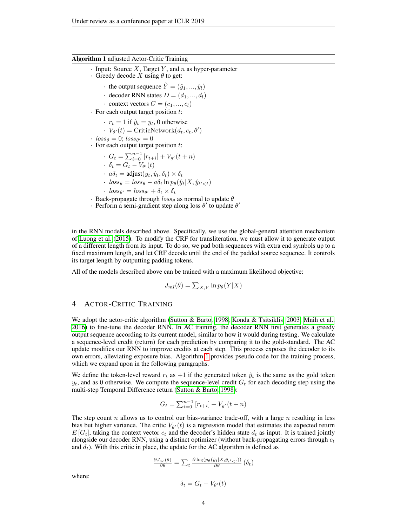#### <span id="page-3-0"></span>Algorithm 1 adjusted Actor-Critic Training

- $\cdot$  Input: Source X, Target Y, and n as hyper-parameter
- $\cdot$  Greedy decode X using  $\theta$  to get:
	- the output sequence  $\hat{Y} = (\hat{y}_1, ..., \hat{y}_l)$
	- · decoder RNN states  $D = (d_1, ..., d_l)$
	- $\cdot$  context vectors  $C = (c_1, ..., c_l)$
- $\cdot$  For each output target position t:
	- $r_t = 1$  if  $\hat{y}_t = y_t$ , 0 otherwise
	- $V_{\theta}(t) = \text{CriticNetwork}(d_t, c_t, \theta')$
- ·  $loss_{\theta} = 0$ ;  $loss_{\theta'} = 0$
- $\cdot$  For each output target position  $t$ :
	- $G_t = \sum_{i=0}^{n-1} [r_{t+i}] + V_{\theta'}(t+n)$  $\delta_t = G_t - V_{\theta'}(t)$
	- $\cdot$   $a\delta_t = \text{adjust}(y_t, \hat{y}_t, \delta_t) \times \delta_t$
	- $\cdot$   $loss_{\theta} = loss_{\theta} a\delta_t \ln p_{\theta}(\hat{y}_t|X, \hat{y}_{t'$
	- $\cdot$   $loss_{\theta'} = loss_{\theta'} + \delta_t \times \delta_t$
- · Back-propagate through  $loss_{\theta}$  as normal to update  $\theta$
- · Perform a semi-gradient step along loss  $\theta'$  to update  $\theta'$

in the RNN models described above. Specifically, we use the global-general attention mechanism of [Luong et al.](#page-9-8) [\(2015\)](#page-9-8). To modify the CRF for transliteration, we must allow it to generate output of a different length from its input. To do so, we pad both sequences with extra end symbols up to a fixed maximum length, and let CRF decode until the end of the padded source sequence. It controls its target length by outputting padding tokens.

All of the models described above can be trained with a maximum likelihood objective:

$$
J_{ml}(\theta) = \sum_{X,Y} \ln p_{\theta}(Y|X)
$$

## 4 ACTOR-CRITIC TRAINING

We adopt the actor-critic algorithm [\(Sutton & Barto, 1998;](#page-10-4) [Konda & Tsitsiklis, 2003;](#page-8-3) [Mnih et al.,](#page-9-9) [2016\)](#page-9-9) to fine-tune the decoder RNN. In AC training, the decoder RNN first generates a greedy output sequence according to its current model, similar to how it would during testing. We calculate a sequence-level credit (return) for each prediction by comparing it to the gold-standard. The AC update modifies our RNN to improve credits at each step. This process exposes the decoder to its own errors, alleviating exposure bias. Algorithm [1](#page-3-0) provides pseudo code for the training process, which we expand upon in the following paragraphs.

We define the token-level reward  $r_t$  as  $+1$  if the generated token  $\hat{y}_t$  is the same as the gold token  $y_t$ , and as 0 otherwise. We compute the sequence-level credit  $G_t$  for each decoding step using the multi-step Temporal Difference return [\(Sutton & Barto, 1998\)](#page-10-4):

$$
G_t = \sum_{i=0}^{n-1} [r_{t+i}] + V_{\theta'}(t+n)
$$

The step count n allows us to control our bias-variance trade-off, with a large  $n$  resulting in less bias but higher variance. The critic  $V_{\theta}(t)$  is a regression model that estimates the expected return  $E[G_t]$ , taking the context vector  $c_t$  and the decoder's hidden state  $d_t$  as input. It is trained jointly alongside our decoder RNN, using a distinct optimizer (without back-propagating errors through  $c_t$ and  $d_t$ ). With this critic in place, the update for the AC algorithm is defined as

$$
\frac{\partial J_{ac}(\theta)}{\partial \theta} = \sum_{t} \frac{\partial \log(p_{\theta}(\hat{y}_{t}|X, \hat{y}_{t'
$$

where:

$$
\delta_t = G_t - V_{\theta'}(t)
$$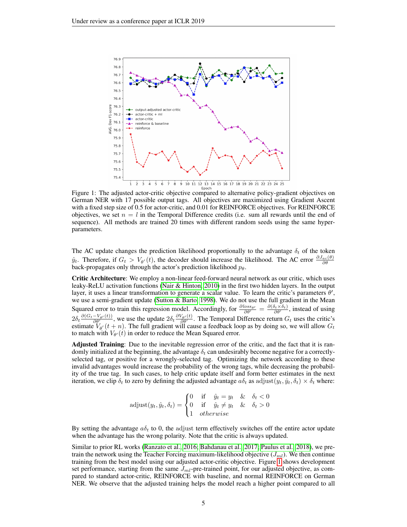

<span id="page-4-0"></span>Figure 1: The adjusted actor-critic objective compared to alternative policy-gradient objectives on German NER with 17 possible output tags. All objectives are maximized using Gradient Ascent with a fixed step size of 0.5 for actor-critic, and 0.01 for REINFORCE objectives. For REINFORCE objectives, we set  $n = l$  in the Temporal Difference credits (i.e. sum all rewards until the end of sequence). All methods are trained 20 times with different random seeds using the same hyperparameters.

The AC update changes the prediction likelihood proportionally to the advantage  $\delta_t$  of the token  $\hat{y}_t$ . Therefore, if  $G_t > V_{\theta}(t)$ , the decoder should increase the likelihood. The AC error  $\frac{\partial J_{ac}(\theta)}{\partial \theta}$ back-propagates only through the actor's prediction likelihood  $p_{\theta}$ .

Critic Architecture: We employ a non-linear feed-forward neural network as our critic, which uses leaky-ReLU activation functions [\(Nair & Hinton, 2010\)](#page-9-10) in the first two hidden layers. In the output layer, it uses a linear transformation to generate a scalar value. To learn the critic's parameters  $\theta'$ , we use a semi-gradient update [\(Sutton & Barto, 1998\)](#page-10-4). We do not use the full gradient in the Mean Squared error to train this regression model. Accordingly, for  $\frac{\partial loss_{\theta'}}{\partial \theta'} = \frac{\partial (\delta_t \times \delta_t)}{\partial \theta'}$ , instead of using  $2\delta_t \frac{\partial (G_t - V_{\theta'}(t))}{\partial \theta'}$ , we use the update  $2\delta_t \frac{\partial V_{\theta'}(t)}{\partial \theta'}$ . The Temporal Difference return  $G_t$  uses the critic's estimate  $V_{\theta}(t + n)$ . The full gradient will cause a feedback loop as by doing so, we will allow  $G_t$ to match with  $V_{\theta'}(t)$  in order to reduce the Mean Squared error.

Adjusted Training: Due to the inevitable regression error of the critic, and the fact that it is randomly initialized at the beginning, the advantage  $\delta_t$  can undesirably become negative for a correctlyselected tag, or positive for a wrongly-selected tag. Optimizing the network according to these invalid advantages would increase the probability of the wrong tags, while decreasing the probability of the true tag. In such cases, to help critic update itself and form better estimates in the next iteration, we clip  $\delta_t$  to zero by defining the adjusted advantage  $a\delta_t$  as adjust $(y_t, \hat{y}_t, \delta_t) \times \delta_t$  where:

> $\text{adjust}(y_t, \hat{y}_t, \delta_t) =$  $\sqrt{ }$ J  $\mathcal{L}$ 0 if  $\hat{y}_t = y_t$  &  $\delta_t < 0$ 0 if  $\hat{y}_t \neq y_t$  &  $\delta_t > 0$ 1 otherwise

By setting the advantage  $a\delta_t$  to 0, the adjust term effectively switches off the entire actor update when the advantage has the wrong polarity. Note that the critic is always updated.

Similar to prior RL works [\(Ranzato et al., 2016;](#page-9-4) [Bahdanau et al., 2017;](#page-8-9) [Paulus et al., 2018\)](#page-9-5), we pretrain the network using the Teacher Forcing maximum-likelihood objective  $(J_{ml})$ . We then continue training from the best model using our adjusted actor-critic objective. Figure [1](#page-4-0) shows development set performance, starting from the same  $J_{ml}$ -pre-trained point, for our adjusted objective, as compared to standard actor-critic, REINFORCE with baseline, and normal REINFORCE on German NER. We observe that the adjusted training helps the model reach a higher point compared to all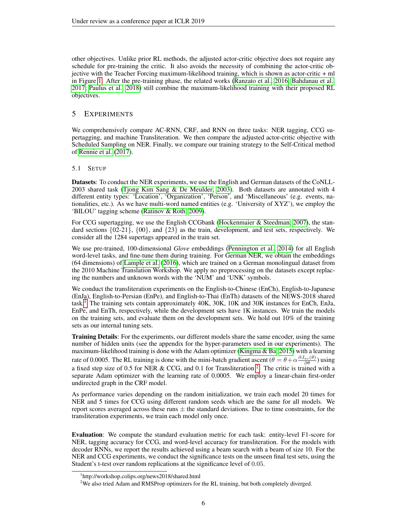other objectives. Unlike prior RL methods, the adjusted actor-critic objective does not require any schedule for pre-training the critic. It also avoids the necessity of combining the actor-critic objective with the Teacher Forcing maximum-likelihood training, which is shown as actor-critic + ml in Figure [1.](#page-4-0) After the pre-training phase, the related works [\(Ranzato et al., 2016;](#page-9-4) [Bahdanau et al.,](#page-8-9) [2017;](#page-8-9) [Paulus et al., 2018\)](#page-9-5) still combine the maximum-likelihood training with their proposed RL objectives.

## 5 EXPERIMENTS

We comprehensively compare AC-RNN, CRF, and RNN on three tasks: NER tagging, CCG supertagging, and machine Transliteration. We then compare the adjusted actor-critic objective with Scheduled Sampling on NER. Finally, we compare our training strategy to the Self-Critical method of [Rennie et al.](#page-9-0) [\(2017\)](#page-9-0).

#### 5.1 SETUP

Datasets: To conduct the NER experiments, we use the English and German datasets of the CoNLL-2003 shared task [\(Tjong Kim Sang & De Meulder, 2003\)](#page-10-5). Both datasets are annotated with 4 different entity types: 'Location', 'Organization', 'Person', and 'Miscellaneous' (e.g. events, nationalities, etc.). As we have multi-word named entities (e.g. 'University of XYZ'), we employ the 'BILOU' tagging scheme [\(Ratinov & Roth, 2009\)](#page-9-11).

For CCG supertagging, we use the English CCGbank [\(Hockenmaier & Steedman, 2007\)](#page-8-6), the standard sections  $\{02-21\}$ ,  $\{00\}$ , and  $\{23\}$  as the train, development, and test sets, respectively. We consider all the 1284 supertags appeared in the train set.

We use pre-trained, 100-dimensional *Glove* embeddings [\(Pennington et al., 2014\)](#page-9-12) for all English word-level tasks, and fine-tune them during training. For German NER, we obtain the embeddings (64 dimensions) of [Lample et al.](#page-8-4) [\(2016\)](#page-8-4), which are trained on a German monolingual dataset from the 2010 Machine Translation Workshop. We apply no preprocessing on the datasets except replacing the numbers and unknown words with the 'NUM' and 'UNK' symbols.

We conduct the transliteration experiments on the English-to-Chinese (EnCh), English-to-Japanese (EnJa), English-to-Persian (EnPe), and English-to-Thai (EnTh) datasets of the NEWS-2018 shared task.<sup>[1](#page-5-0)</sup> The training sets contain approximately  $40K$ ,  $30K$ ,  $10K$  and  $30K$  instances for EnCh, EnJa, EnPe, and EnTh, respectively, while the development sets have 1K instances. We train the models on the training sets, and evaluate them on the development sets. We hold out 10% of the training sets as our internal tuning sets.

Training Details: For the experiments, our different models share the same encoder, using the same number of hidden units (see the appendix for the hyper-parameters used in our experiments). The maximum-likelihood training is done with the Adam optimizer [\(Kingma & Ba, 2015\)](#page-8-14) with a learning rate of 0.0005. The RL training is done with the mini-batch gradient ascent  $(\theta = \theta + \alpha \frac{\partial J_{ac}(\theta)}{\partial \theta})$  using a fixed step size of 0.5 for NER & CCG, and 0.1 for Transliteration <sup>[2](#page-5-1)</sup>. The critic is trained with a separate Adam optimizer with the learning rate of 0.0005. We employ a linear-chain first-order undirected graph in the CRF model.

As performance varies depending on the random initialization, we train each model 20 times for NER and 5 times for CCG using different random seeds which are the same for all models. We report scores averaged across these runs  $\pm$  the standard deviations. Due to time constraints, for the transliteration experiments, we train each model only once.

Evaluation: We compute the standard evaluation metric for each task: entity-level F1-score for NER, tagging accuracy for CCG, and word-level accuracy for transliteration. For the models with decoder RNNs, we report the results achieved using a beam search with a beam of size 10. For the NER and CCG experiments, we conduct the significance tests on the unseen final test sets, using the Student's t-test over random replications at the significance level of 0.05.

<span id="page-5-0"></span><sup>1</sup> http://workshop.colips.org/news2018/shared.html

<span id="page-5-1"></span><sup>&</sup>lt;sup>2</sup>We also tried Adam and RMSProp optimizers for the RL training, but both completely diverged.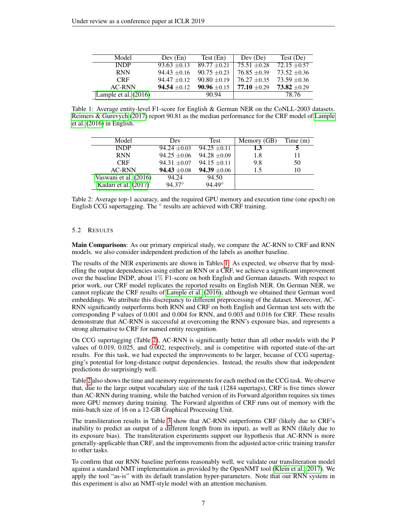<span id="page-6-0"></span>

| Model                  | Dev (En)       | Test (En)        | Dev (De)         | Test (De)        |
|------------------------|----------------|------------------|------------------|------------------|
| <b>INDP</b>            | $93.63 + 0.13$ | $89.77 + 0.21$   | $75.51 + 0.28$   | $72.15 + 0.57$   |
| <b>RNN</b>             | $94.43 + 0.16$ | $90.75 \pm 0.23$ | $76.85 \pm 0.39$ | $73.52 + 0.36$   |
| <b>CRF</b>             | $94.47 + 0.12$ | $90.80 + 0.19$   | $76.27 + 0.35$   | $73.59 + 0.36$   |
| AC-RNN                 | $94.54 + 0.12$ | $90.96 + 0.15$   | $77.10 + 0.29$   | $73.82 \pm 0.29$ |
| Lample et al. $(2016)$ |                | 90.94            |                  | 78.76            |

Table 1: Average entity-level F1-score for English & German NER on the CoNLL-2003 datasets. [Reimers & Gurevych](#page-9-13) [\(2017\)](#page-9-13) report 90.81 as the median performance for the CRF model of [Lample](#page-8-4) [et al.](#page-8-4) [\(2016\)](#page-8-4) in English.

<span id="page-6-1"></span>

| Model                 | Dev              | <b>Test</b>      | Memory (GB) | Time(m) |
|-----------------------|------------------|------------------|-------------|---------|
| <b>INDP</b>           | $94.24 + 0.03$   | $94.25 \pm 0.11$ | 1.3         |         |
| <b>RNN</b>            | $94.25 \pm 0.06$ | $94.28 \pm 0.09$ | 1.8         |         |
| <b>CRF</b>            | $94.31 \pm 0.07$ | $94.15 \pm 0.11$ | 9.8         | 50      |
| <b>AC-RNN</b>         | $94.43 \pm 0.08$ | $94.39 \pm 0.06$ | 1.5         | 10      |
| Vaswani et al. (2016) | 94.24            | 94.50            |             |         |
| Kadari et al. (2017)  | $94.37^{\circ}$  | $94.49^{\circ}$  |             |         |

Table 2: Average top-1 accuracy, and the required GPU memory and execution time (one epoch) on English CCG supertagging. The  $\circ$  results are achieved with CRF training.

#### 5.2 RESULTS

Main Comparisons: As our primary empirical study, we compare the AC-RNN to CRF and RNN models. we also consider independent prediction of the labels as another baseline.

The results of the NER experiments are shown in Tables [1.](#page-6-0) As expected, we observe that by modelling the output dependencies using either an RNN or a CRF, we achieve a significant improvement over the baseline INDP, about 1% F1-score on both English and German datasets. With respect to prior work, our CRF model replicates the reported results on English NER. On German NER, we cannot replicate the CRF results of [Lample et al.](#page-8-4) [\(2016\)](#page-8-4), although we obtained their German word embeddings. We attribute this discrepancy to different preprocessing of the dataset. Moreover, AC-RNN significantly outperforms both RNN and CRF on both English and German test sets with the corresponding P values of 0.001 and 0.004 for RNN, and 0.003 and 0.016 for CRF. These results demonstrate that AC-RNN is successful at overcoming the RNN's exposure bias, and represents a strong alternative to CRF for named entity recognition.

On CCG supertagging (Table [2\)](#page-6-1), AC-RNN is significantly better than all other models with the P values of 0.019, 0.025, and 0.002, respectively, and is competitive with reported state-of-the-art results. For this task, we had expected the improvements to be larger, because of CCG supertagging's potential for long-distance output dependencies. Instead, the results show that independent predictions do surprisingly well.

Table [2](#page-6-1) also shows the time and memory requirements for each method on the CCG task. We observe that, due to the large output vocabulary size of the task (1284 supertags), CRF is five times slower than AC-RNN during training, while the batched version of its Forward algorithm requires six times more GPU memory during training. The Forward algorithm of CRF runs out of memory with the mini-batch size of 16 on a 12-GB Graphical Processing Unit.

The transliteration results in Table [3](#page-7-0) show that AC-RNN outperforms CRF (likely due to CRF's inability to predict an output of a different length from its input), as well as RNN (likely due to its exposure bias). The transliteration experiments support our hypothesis that AC-RNN is more generally-applicable than CRF, and the improvements from the adjusted actor-critic training transfer to other tasks.

To confirm that our RNN baseline performs reasonably well, we validate our transliteration model against a standard NMT implementation as provided by the OpenNMT tool [\(Klein et al., 2017\)](#page-8-15). We apply the tool "as-is" with its default translation hyper-parameters. Note that our RNN system in this experiment is also an NMT-style model with an attention mechanism.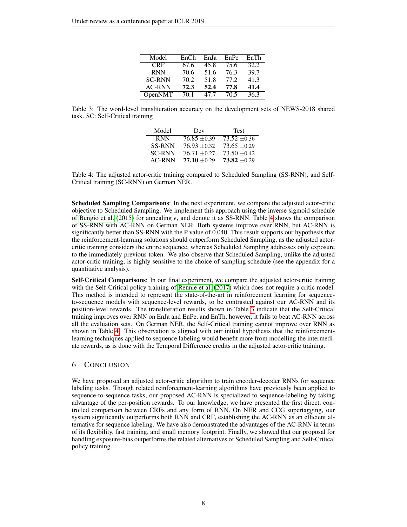<span id="page-7-0"></span>

| Model         | EnCh | EnJa | EnPe | EnTh |
|---------------|------|------|------|------|
| <b>CRF</b>    | 67.6 | 45.8 | 75.6 | 32.2 |
| <b>RNN</b>    | 70.6 | 51.6 | 76.3 | 39.7 |
| <b>SC-RNN</b> | 70.2 | 51.8 | 77.2 | 41.3 |
| <b>AC-RNN</b> | 72.3 | 52.4 | 77.8 | 41.4 |
| OpenNMT       | 70.1 | 47 7 | 70.5 | 36.3 |

Table 3: The word-level transliteration accuracy on the development sets of NEWS-2018 shared task. SC: Self-Critical training

<span id="page-7-1"></span>

| Model         | Dev            | <b>Test</b>    |
|---------------|----------------|----------------|
| <b>RNN</b>    | $76.85 + 0.39$ | $73.52 + 0.36$ |
| <b>SS-RNN</b> | $76.93 + 0.32$ | $73.65 + 0.29$ |
| <b>SC-RNN</b> | $76.71 + 0.27$ | $73.50 + 0.42$ |
| <b>AC-RNN</b> | $77.10 + 0.29$ | $73.82 + 0.29$ |

Table 4: The adjusted actor-critic training compared to Scheduled Sampling (SS-RNN), and Self-Critical training (SC-RNN) on German NER.

Scheduled Sampling Comparisons: In the next experiment, we compare the adjusted actor-critic objective to Scheduled Sampling. We implement this approach using the inverse sigmoid schedule of [Bengio et al.](#page-8-1) [\(2015\)](#page-8-1) for annealing  $\epsilon$ , and denote it as SS-RNN. Table [4](#page-7-1) shows the comparison of SS-RNN with AC-RNN on German NER. Both systems improve over RNN, but AC-RNN is significantly better than SS-RNN with the P value of 0.040. This result supports our hypothesis that the reinforcement-learning solutions should outperform Scheduled Sampling, as the adjusted actorcritic training considers the entire sequence, whereas Scheduled Sampling addresses only exposure to the immediately previous token. We also observe that Scheduled Sampling, unlike the adjusted actor-critic training, is highly sensitive to the choice of sampling schedule (see the appendix for a quantitative analysis).

Self-Critical Comparisons: In our final experiment, we compare the adjusted actor-critic training with the Self-Critical policy training of [Rennie et al.](#page-9-0) [\(2017\)](#page-9-0) which does not require a critic model. This method is intended to represent the state-of-the-art in reinforcement learning for sequenceto-sequence models with sequence-level rewards, to be contrasted against our AC-RNN and its position-level rewards. The transliteration results shown in Table [3](#page-7-0) indicate that the Self-Critical training improves over RNN on EnJa and EnPe, and EnTh, however, it fails to beat AC-RNN across all the evaluation sets. On German NER, the Self-Critical training cannot improve over RNN as shown in Table [4.](#page-7-1) This observation is aligned with our initial hypothesis that the reinforcementlearning techniques applied to sequence labeling would benefit more from modelling the intermediate rewards, as is done with the Temporal Difference credits in the adjusted actor-critic training.

## 6 CONCLUSION

We have proposed an adjusted actor-critic algorithm to train encoder-decoder RNNs for sequence labeling tasks. Though related reinforcement-learning algorithms have previously been applied to sequence-to-sequence tasks, our proposed AC-RNN is specialized to sequence-labeling by taking advantage of the per-position rewards. To our knowledge, we have presented the first direct, controlled comparison between CRFs and any form of RNN. On NER and CCG supertagging, our system significantly outperforms both RNN and CRF, establishing the AC-RNN as an efficient alternative for sequence labeling. We have also demonstrated the advantages of the AC-RNN in terms of its flexibility, fast training, and small memory footprint. Finally, we showed that our proposal for handling exposure-bias outperforms the related alternatives of Scheduled Sampling and Self-Critical policy training.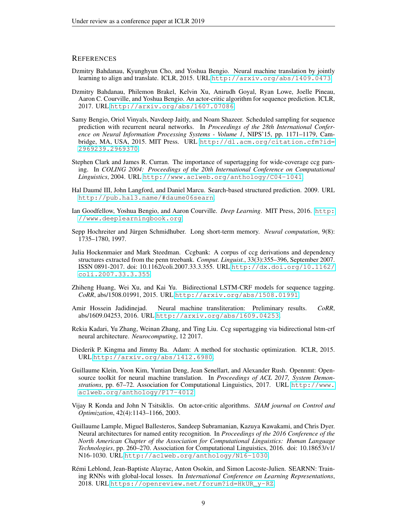## **REFERENCES**

- <span id="page-8-13"></span>Dzmitry Bahdanau, Kyunghyun Cho, and Yoshua Bengio. Neural machine translation by jointly learning to align and translate. ICLR, 2015. URL <http://arxiv.org/abs/1409.0473>.
- <span id="page-8-9"></span>Dzmitry Bahdanau, Philemon Brakel, Kelvin Xu, Anirudh Goyal, Ryan Lowe, Joelle Pineau, Aaron C. Courville, and Yoshua Bengio. An actor-critic algorithm for sequence prediction. ICLR, 2017. URL <http://arxiv.org/abs/1607.07086>.
- <span id="page-8-1"></span>Samy Bengio, Oriol Vinyals, Navdeep Jaitly, and Noam Shazeer. Scheduled sampling for sequence prediction with recurrent neural networks. In *Proceedings of the 28th International Conference on Neural Information Processing Systems - Volume 1*, NIPS'15, pp. 1171–1179, Cambridge, MA, USA, 2015. MIT Press. URL [http://dl.acm.org/citation.cfm?id=](http://dl.acm.org/citation.cfm?id=2969239.2969370) [2969239.2969370](http://dl.acm.org/citation.cfm?id=2969239.2969370).
- <span id="page-8-5"></span>Stephen Clark and James R. Curran. The importance of supertagging for wide-coverage ccg parsing. In *COLING 2004: Proceedings of the 20th International Conference on Computational Linguistics*, 2004. URL <http://www.aclweb.org/anthology/C04-1041>.
- <span id="page-8-10"></span>Hal Daumé III, John Langford, and Daniel Marcu. Search-based structured prediction. 2009. URL <http://pub.hal3.name/#daume06searn>.
- <span id="page-8-2"></span>Ian Goodfellow, Yoshua Bengio, and Aaron Courville. *Deep Learning*. MIT Press, 2016. [http:](http://www.deeplearningbook.org) [//www.deeplearningbook.org](http://www.deeplearningbook.org).
- <span id="page-8-12"></span>Sepp Hochreiter and Jürgen Schmidhuber. Long short-term memory. *Neural computation*, 9(8): 1735–1780, 1997.
- <span id="page-8-6"></span>Julia Hockenmaier and Mark Steedman. Ccgbank: A corpus of ccg derivations and dependency structures extracted from the penn treebank. *Comput. Linguist.*, 33(3):355–396, September 2007. ISSN 0891-2017. doi: 10.1162/coli.2007.33.3.355. URL [http://dx.doi.org/10.1162/](http://dx.doi.org/10.1162/coli.2007.33.3.355) [coli.2007.33.3.355](http://dx.doi.org/10.1162/coli.2007.33.3.355).
- <span id="page-8-0"></span>Zhiheng Huang, Wei Xu, and Kai Yu. Bidirectional LSTM-CRF models for sequence tagging. *CoRR*, abs/1508.01991, 2015. URL <http://arxiv.org/abs/1508.01991>.
- <span id="page-8-8"></span>Amir Hossein Jadidinejad. Neural machine transliteration: Preliminary results. *CoRR*, abs/1609.04253, 2016. URL <http://arxiv.org/abs/1609.04253>.
- <span id="page-8-7"></span>Rekia Kadari, Yu Zhang, Weinan Zhang, and Ting Liu. Ccg supertagging via bidirectional lstm-crf neural architecture. *Neurocomputing*, 12 2017.
- <span id="page-8-14"></span>Diederik P. Kingma and Jimmy Ba. Adam: A method for stochastic optimization. ICLR, 2015. URL <http://arxiv.org/abs/1412.6980>.
- <span id="page-8-15"></span>Guillaume Klein, Yoon Kim, Yuntian Deng, Jean Senellart, and Alexander Rush. Opennmt: Opensource toolkit for neural machine translation. In *Proceedings of ACL 2017, System Demonstrations*, pp. 67–72. Association for Computational Linguistics, 2017. URL [http://www.](http://www.aclweb.org/anthology/P17-4012) [aclweb.org/anthology/P17-4012](http://www.aclweb.org/anthology/P17-4012).
- <span id="page-8-3"></span>Vijay R Konda and John N Tsitsiklis. On actor-critic algorithms. *SIAM journal on Control and Optimization*, 42(4):1143–1166, 2003.
- <span id="page-8-4"></span>Guillaume Lample, Miguel Ballesteros, Sandeep Subramanian, Kazuya Kawakami, and Chris Dyer. Neural architectures for named entity recognition. In *Proceedings of the 2016 Conference of the North American Chapter of the Association for Computational Linguistics: Human Language Technologies*, pp. 260–270. Association for Computational Linguistics, 2016. doi: 10.18653/v1/ N16-1030. URL <http://aclweb.org/anthology/N16-1030>.
- <span id="page-8-11"></span>Remi Leblond, Jean-Baptiste Alayrac, Anton Osokin, and Simon Lacoste-Julien. SEARNN: Train- ´ ing RNNs with global-local losses. In *International Conference on Learning Representations*, 2018. URL [https://openreview.net/forum?id=HkUR\\_y-RZ](https://openreview.net/forum?id=HkUR_y-RZ).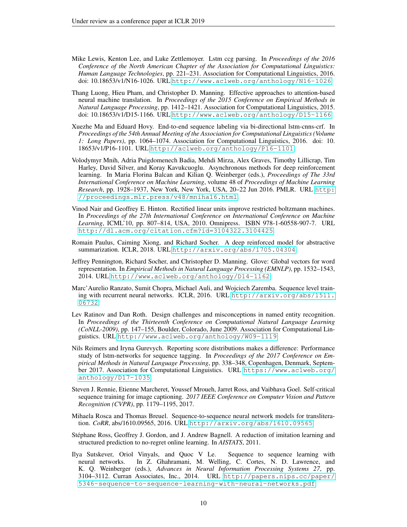- <span id="page-9-2"></span>Mike Lewis, Kenton Lee, and Luke Zettlemoyer. Lstm ccg parsing. In *Proceedings of the 2016 Conference of the North American Chapter of the Association for Computational Linguistics: Human Language Technologies*, pp. 221–231. Association for Computational Linguistics, 2016. doi: 10.18653/v1/N16-1026. URL <http://www.aclweb.org/anthology/N16-1026>.
- <span id="page-9-8"></span>Thang Luong, Hieu Pham, and Christopher D. Manning. Effective approaches to attention-based neural machine translation. In *Proceedings of the 2015 Conference on Empirical Methods in Natural Language Processing*, pp. 1412–1421. Association for Computational Linguistics, 2015. doi: 10.18653/v1/D15-1166. URL <http://www.aclweb.org/anthology/D15-1166>.
- <span id="page-9-1"></span>Xuezhe Ma and Eduard Hovy. End-to-end sequence labeling via bi-directional lstm-cnns-crf. In *Proceedings of the 54th Annual Meeting of the Association for Computational Linguistics (Volume 1: Long Papers)*, pp. 1064–1074. Association for Computational Linguistics, 2016. doi: 10. 18653/v1/P16-1101. URL <http://aclweb.org/anthology/P16-1101>.
- <span id="page-9-9"></span>Volodymyr Mnih, Adria Puigdomenech Badia, Mehdi Mirza, Alex Graves, Timothy Lillicrap, Tim Harley, David Silver, and Koray Kavukcuoglu. Asynchronous methods for deep reinforcement learning. In Maria Florina Balcan and Kilian Q. Weinberger (eds.), *Proceedings of The 33rd International Conference on Machine Learning*, volume 48 of *Proceedings of Machine Learning Research*, pp. 1928–1937, New York, New York, USA, 20–22 Jun 2016. PMLR. URL [http:](http://proceedings.mlr.press/v48/mniha16.html) [//proceedings.mlr.press/v48/mniha16.html](http://proceedings.mlr.press/v48/mniha16.html).
- <span id="page-9-10"></span>Vinod Nair and Geoffrey E. Hinton. Rectified linear units improve restricted boltzmann machines. In *Proceedings of the 27th International Conference on International Conference on Machine Learning*, ICML'10, pp. 807–814, USA, 2010. Omnipress. ISBN 978-1-60558-907-7. URL <http://dl.acm.org/citation.cfm?id=3104322.3104425>.
- <span id="page-9-5"></span>Romain Paulus, Caiming Xiong, and Richard Socher. A deep reinforced model for abstractive summarization. ICLR, 2018. URL <http://arxiv.org/abs/1705.04304>.
- <span id="page-9-12"></span>Jeffrey Pennington, Richard Socher, and Christopher D. Manning. Glove: Global vectors for word representation. In *Empirical Methods in Natural Language Processing (EMNLP)*, pp. 1532–1543, 2014. URL <http://www.aclweb.org/anthology/D14-1162>.
- <span id="page-9-4"></span>Marc'Aurelio Ranzato, Sumit Chopra, Michael Auli, and Wojciech Zaremba. Sequence level training with recurrent neural networks. ICLR, 2016. URL [http://arxiv.org/abs/1511.](http://arxiv.org/abs/1511.06732) [06732](http://arxiv.org/abs/1511.06732).
- <span id="page-9-11"></span>Lev Ratinov and Dan Roth. Design challenges and misconceptions in named entity recognition. In *Proceedings of the Thirteenth Conference on Computational Natural Language Learning (CoNLL-2009)*, pp. 147–155, Boulder, Colorado, June 2009. Association for Computational Linguistics. URL <http://www.aclweb.org/anthology/W09-1119>.
- <span id="page-9-13"></span>Nils Reimers and Iryna Gurevych. Reporting score distributions makes a difference: Performance study of lstm-networks for sequence tagging. In *Proceedings of the 2017 Conference on Empirical Methods in Natural Language Processing*, pp. 338–348, Copenhagen, Denmark, September 2017. Association for Computational Linguistics. URL [https://www.aclweb.org/](https://www.aclweb.org/anthology/D17-1035) [anthology/D17-1035](https://www.aclweb.org/anthology/D17-1035).
- <span id="page-9-0"></span>Steven J. Rennie, Etienne Marcheret, Youssef Mroueh, Jarret Ross, and Vaibhava Goel. Self-critical sequence training for image captioning. *2017 IEEE Conference on Computer Vision and Pattern Recognition (CVPR)*, pp. 1179–1195, 2017.
- <span id="page-9-3"></span>Mihaela Rosca and Thomas Breuel. Sequence-to-sequence neural network models for transliteration. *CoRR*, abs/1610.09565, 2016. URL <http://arxiv.org/abs/1610.09565>.
- <span id="page-9-6"></span>Stephane Ross, Geoffrey J. Gordon, and J. Andrew Bagnell. A reduction of imitation learning and ´ structured prediction to no-regret online learning. In *AISTATS*, 2011.
- <span id="page-9-7"></span>Ilya Sutskever, Oriol Vinyals, and Quoc V Le. Sequence to sequence learning with neural networks. In Z. Ghahramani, M. Welling, C. Cortes, N. D. Lawrence, and K. Q. Weinberger (eds.), *Advances in Neural Information Processing Systems 27*, pp. 3104–3112. Curran Associates, Inc., 2014. URL [http://papers.nips.cc/paper/](http://papers.nips.cc/paper/5346-sequence-to-sequence-learning-with-neural-networks.pdf) [5346-sequence-to-sequence-learning-with-neural-networks.pdf](http://papers.nips.cc/paper/5346-sequence-to-sequence-learning-with-neural-networks.pdf).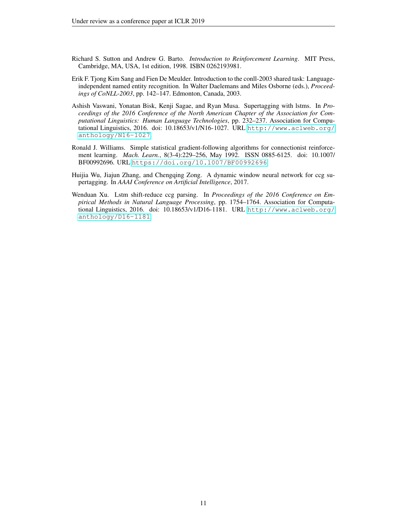- <span id="page-10-4"></span>Richard S. Sutton and Andrew G. Barto. *Introduction to Reinforcement Learning*. MIT Press, Cambridge, MA, USA, 1st edition, 1998. ISBN 0262193981.
- <span id="page-10-5"></span>Erik F. Tjong Kim Sang and Fien De Meulder. Introduction to the conll-2003 shared task: Languageindependent named entity recognition. In Walter Daelemans and Miles Osborne (eds.), *Proceedings of CoNLL-2003*, pp. 142–147. Edmonton, Canada, 2003.
- <span id="page-10-1"></span>Ashish Vaswani, Yonatan Bisk, Kenji Sagae, and Ryan Musa. Supertagging with lstms. In *Proceedings of the 2016 Conference of the North American Chapter of the Association for Computational Linguistics: Human Language Technologies*, pp. 232–237. Association for Computational Linguistics, 2016. doi: 10.18653/v1/N16-1027. URL [http://www.aclweb.org/](http://www.aclweb.org/anthology/N16-1027) [anthology/N16-1027](http://www.aclweb.org/anthology/N16-1027).
- <span id="page-10-3"></span>Ronald J. Williams. Simple statistical gradient-following algorithms for connectionist reinforcement learning. *Mach. Learn.*, 8(3-4):229–256, May 1992. ISSN 0885-6125. doi: 10.1007/ BF00992696. URL <https://doi.org/10.1007/BF00992696>.
- <span id="page-10-2"></span>Huijia Wu, Jiajun Zhang, and Chengqing Zong. A dynamic window neural network for ccg supertagging. In *AAAI Conference on Artificial Intelligence*, 2017.
- <span id="page-10-0"></span>Wenduan Xu. Lstm shift-reduce ccg parsing. In *Proceedings of the 2016 Conference on Empirical Methods in Natural Language Processing*, pp. 1754–1764. Association for Computational Linguistics, 2016. doi: 10.18653/v1/D16-1181. URL [http://www.aclweb.org/](http://www.aclweb.org/anthology/D16-1181) [anthology/D16-1181](http://www.aclweb.org/anthology/D16-1181).